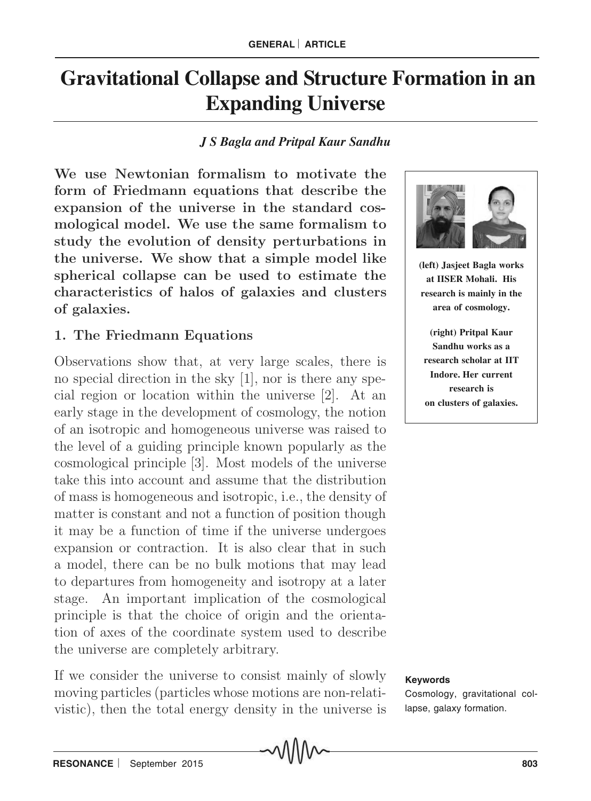# **Gravitational Collapse and Structure Formation in an Expanding Universe**

## *J S Bagla and Pritpal Kaur Sandhu*

We use Newtonian formalism to motivate the form of Friedmann equations that describe the expansion of the universe in the standard cosmological model. We use the same formalism to study the evolution of density perturbations in the universe. We show that a simple model like spherical collapse can be used to estimate the characteristics of halos of galaxies and clusters of galaxies.

# 1. The Friedmann Equations

Observations show that, at very large scales, there is no special direction in the sky [1], nor is there any special region or location within the universe [2]. At an early stage in the development of cosmology, the notion of an isotropic and homogeneous universe was raised to the level of a guiding principle known popularly as the cosmological principle [3]. Most models of the universe take this into account and assume that the distribution of mass is homogeneous and isotropic, i.e., the density of matter is constant and not a function of position though it may be a function of time if the universe undergoes expansion or contraction. It is also clear that in such a model, there can be no bulk motions that may lead to departures from homogeneity and isotropy at a later stage. An important implication of the cosmological principle is that the choice of origin and the orientation of axes of the coordinate system used to describe the universe are completely arbitrary.

If we consider the universe to consist mainly of slowly moving particles (particles whose motions are non-relativistic), then the total energy density in the universe is



**(left) Jasjeet Bagla works at IISER Mohali. His research is mainly in the area of cosmology.**

**(right) Pritpal Kaur Sandhu works as a research scholar at IIT Indore. Her current research is on clusters of galaxies.**

#### **Keywords**

Cosmology, gravitational collapse, galaxy formation.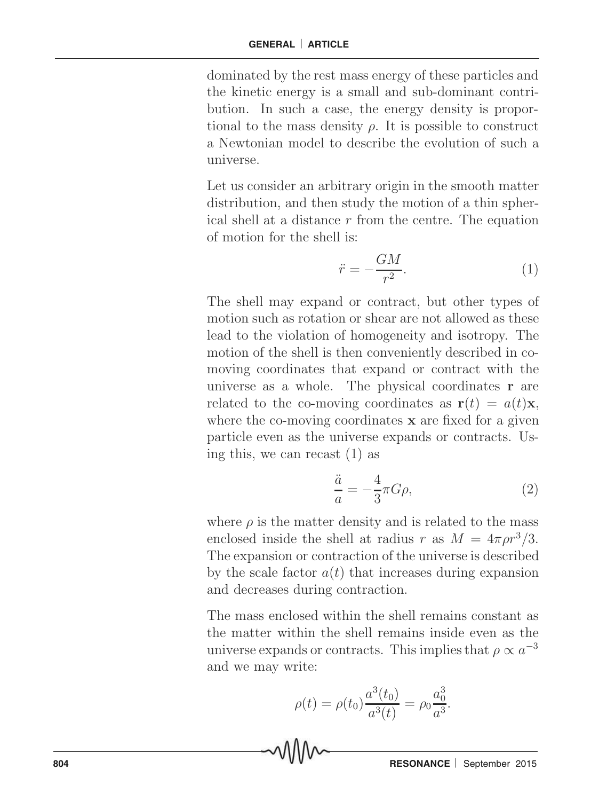dominated by the rest mass energy of these particles and the kinetic energy is a small and sub-dominant contribution. In such a case, the energy density is proportional to the mass density  $\rho$ . It is possible to construct a Newtonian model to describe the evolution of such a universe.

Let us consider an arbitrary origin in the smooth matter distribution, and then study the motion of a thin spherical shell at a distance r from the centre. The equation of motion for the shell is:

$$
\ddot{r} = -\frac{GM}{r^2}.\tag{1}
$$

The shell may expand or contract, but other types of motion such as rotation or shear are not allowed as these lead to the violation of homogeneity and isotropy. The motion of the shell is then conveniently described in comoving coordinates that expand or contract with the universe as a whole. The physical coordinates r are related to the co-moving coordinates as  $\mathbf{r}(t) = a(t)\mathbf{x}$ , where the co-moving coordinates **x** are fixed for a given particle even as the universe expands or contracts. Using this, we can recast (1) as

$$
\frac{\ddot{a}}{a} = -\frac{4}{3}\pi G\rho,\tag{2}
$$

where  $\rho$  is the matter density and is related to the mass enclosed inside the shell at radius r as  $M = 4\pi \rho r^3/3$ . The expansion or contraction of the universe is described by the scale factor  $a(t)$  that increases during expansion and decreases during contraction.

The mass enclosed within the shell remains constant as the matter within the shell remains inside even as the universe expands or contracts. This implies that  $\rho \propto a^{-3}$ and we may write:

$$
\rho(t) = \rho(t_0) \frac{a^3(t_0)}{a^3(t)} = \rho_0 \frac{a_0^3}{a^3}.
$$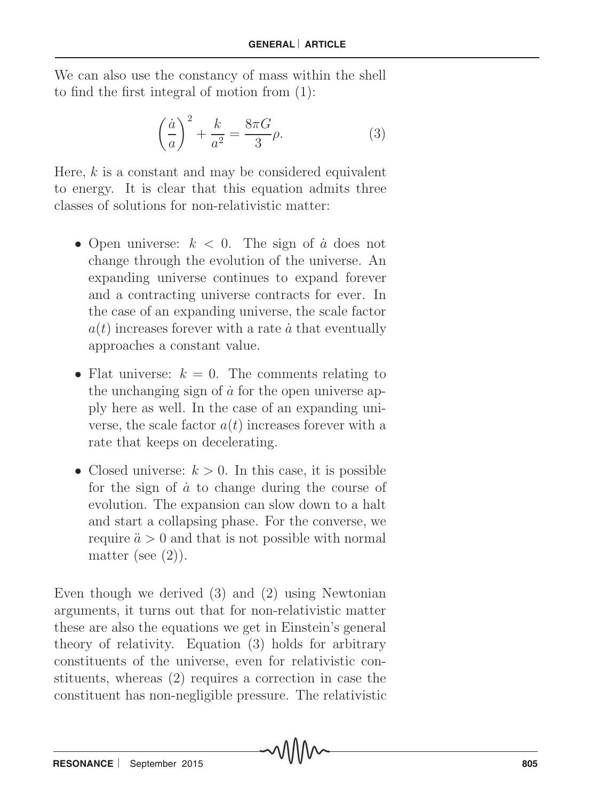We can also use the constancy of mass within the shell to find the first integral of motion from (1):

$$
\left(\frac{\dot{a}}{a}\right)^2 + \frac{k}{a^2} = \frac{8\pi G}{3}\rho.
$$
 (3)

Here,  $k$  is a constant and may be considered equivalent to energy. It is clear that this equation admits three classes of solutions for non-relativistic matter:

- Open universe:  $k < 0$ . The sign of  $\dot{a}$  does not change through the evolution of the universe. An expanding universe continues to expand forever and a contracting universe contracts for ever. In the case of an expanding universe, the scale factor  $a(t)$  increases forever with a rate  $\dot{a}$  that eventually approaches a constant value.
- Flat universe:  $k = 0$ . The comments relating to the unchanging sign of  $\dot{a}$  for the open universe apply here as well. In the case of an expanding universe, the scale factor  $a(t)$  increases forever with a rate that keeps on decelerating.
- Closed universe:  $k > 0$ . In this case, it is possible for the sign of  $\dot{a}$  to change during the course of evolution. The expansion can slow down to a halt and start a collapsing phase. For the converse, we require  $\ddot{a} > 0$  and that is not possible with normal matter (see  $(2)$ ).

Even though we derived (3) and (2) using Newtonian arguments, it turns out that for non-relativistic matter these are also the equations we get in Einstein's general theory of relativity. Equation (3) holds for arbitrary constituents of the universe, even for relativistic constituents, whereas (2) requires a correction in case the constituent has non-negligible pressure. The relativistic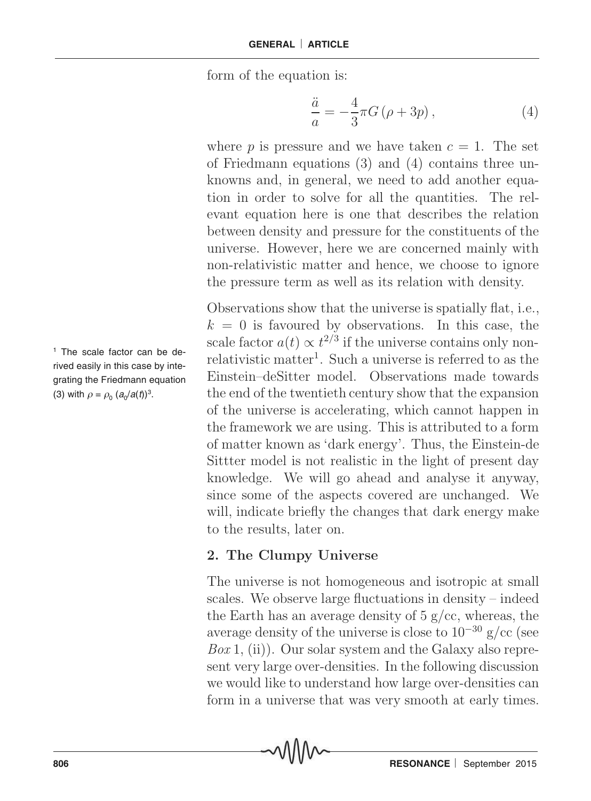form of the equation is:

$$
\frac{\ddot{a}}{a} = -\frac{4}{3}\pi G\left(\rho + 3p\right),\tag{4}
$$

where p is pressure and we have taken  $c = 1$ . The set of Friedmann equations (3) and (4) contains three unknowns and, in general, we need to add another equation in order to solve for all the quantities. The relevant equation here is one that describes the relation between density and pressure for the constituents of the universe. However, here we are concerned mainly with non-relativistic matter and hence, we choose to ignore the pressure term as well as its relation with density.

Observations show that the universe is spatially flat, i.e.,  $k = 0$  is favoured by observations. In this case, the scale factor  $a(t) \propto t^{2/3}$  if the universe contains only nonrelativistic matter<sup>1</sup>. Such a universe is referred to as the Einstein–deSitter model. Observations made towards the end of the twentieth century show that the expansion of the universe is accelerating, which cannot happen in the framework we are using. This is attributed to a form of matter known as 'dark energy'. Thus, the Einstein-de Sittter model is not realistic in the light of present day knowledge. We will go ahead and analyse it anyway, since some of the aspects covered are unchanged. We will, indicate briefly the changes that dark energy make to the results, later on.

## 2. The Clumpy Universe

The universe is not homogeneous and isotropic at small scales. We observe large fluctuations in density – indeed the Earth has an average density of  $5 \frac{\text{g}}{\text{c}}$ , whereas, the average density of the universe is close to  $10^{-30}$  g/cc (see  $Box\ 1$ , (ii)). Our solar system and the Galaxy also represent very large over-densities. In the following discussion we would like to understand how large over-densities can form in a universe that was very smooth at early times.

1 The scale factor can be derived easily in this case by integrating the Friedmann equation (3) with  $\rho = \rho_0 (a_0/a(t))^3$ .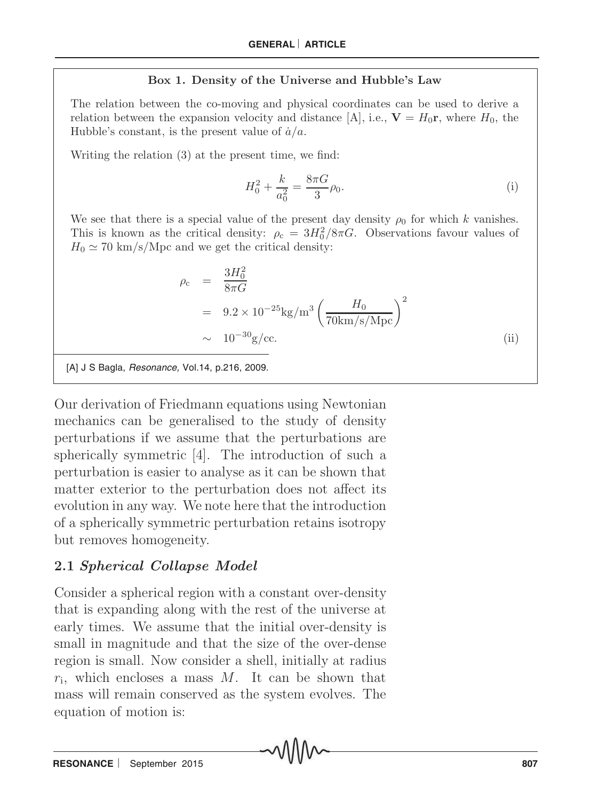### Box 1. Density of the Universe and Hubble's Law

The relation between the co-moving and physical coordinates can be used to derive a relation between the expansion velocity and distance [A], i.e.,  $V = H_0 r$ , where  $H_0$ , the Hubble's constant, is the present value of  $\dot{a}/a$ .

Writing the relation (3) at the present time, we find:

$$
H_0^2 + \frac{k}{a_0^2} = \frac{8\pi G}{3}\rho_0.
$$
 (i)

We see that there is a special value of the present day density  $\rho_0$  for which k vanishes. This is known as the critical density:  $\rho_c = 3H_0^2/8\pi G$ . Observations favour values of  $H_0 \simeq 70 \text{ km/s/Mpc}$  and we get the critical density:

$$
\rho_{\rm c} = \frac{3H_0^2}{8\pi G} \n= 9.2 \times 10^{-25} \text{kg/m}^3 \left(\frac{H_0}{70 \text{km/s/Mpc}}\right)^2 \n\sim 10^{-30} \text{g/cc.}
$$
\n(ii)

[A] J S Bagla, Resonance, Vol.14, p.216, 2009.

Our derivation of Friedmann equations using Newtonian mechanics can be generalised to the study of density perturbations if we assume that the perturbations are spherically symmetric [4]. The introduction of such a perturbation is easier to analyse as it can be shown that matter exterior to the perturbation does not affect its evolution in any way. We note here that the introduction of a spherically symmetric perturbation retains isotropy but removes homogeneity.

## 2.1 Spherical Collapse Model

Consider a spherical region with a constant over-density that is expanding along with the rest of the universe at early times. We assume that the initial over-density is small in magnitude and that the size of the over-dense region is small. Now consider a shell, initially at radius  $r_i$ , which encloses a mass M. It can be shown that mass will remain conserved as the system evolves. The equation of motion is: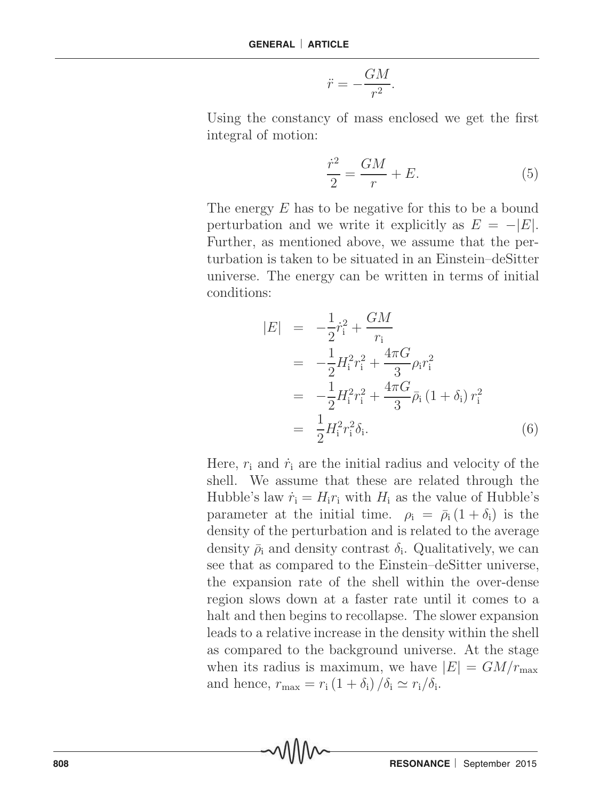$$
\ddot{r} = -\frac{GM}{r^2}.
$$

Using the constancy of mass enclosed we get the first integral of motion:

$$
\frac{\dot{r}^2}{2} = \frac{GM}{r} + E. \tag{5}
$$

The energy E has to be negative for this to be a bound perturbation and we write it explicitly as  $E = -|E|$ . Further, as mentioned above, we assume that the perturbation is taken to be situated in an Einstein–deSitter universe. The energy can be written in terms of initial conditions:

$$
|E| = -\frac{1}{2}\dot{r}_i^2 + \frac{GM}{r_i}
$$
  
\n
$$
= -\frac{1}{2}H_i^2r_i^2 + \frac{4\pi G}{3}\rho_i r_i^2
$$
  
\n
$$
= -\frac{1}{2}H_i^2r_i^2 + \frac{4\pi G}{3}\bar{\rho}_i (1 + \delta_i) r_i^2
$$
  
\n
$$
= \frac{1}{2}H_i^2r_i^2\delta_i.
$$
 (6)

Here,  $r_i$  and  $\dot{r}_i$  are the initial radius and velocity of the shell. We assume that these are related through the Hubble's law  $\dot{r}_i = H_i r_i$  with  $H_i$  as the value of Hubble's parameter at the initial time.  $\rho_i = \bar{\rho}_i (1 + \delta_i)$  is the density of the perturbation and is related to the average density  $\bar{\rho}_i$  and density contrast  $\delta_i$ . Qualitatively, we can see that as compared to the Einstein–deSitter universe, the expansion rate of the shell within the over-dense region slows down at a faster rate until it comes to a halt and then begins to recollapse. The slower expansion leads to a relative increase in the density within the shell as compared to the background universe. At the stage when its radius is maximum, we have  $|E| = GM/r_{\text{max}}$ and hence,  $r_{\text{max}} = r_i (1 + \delta_i) / \delta_i \simeq r_i / \delta_i$ .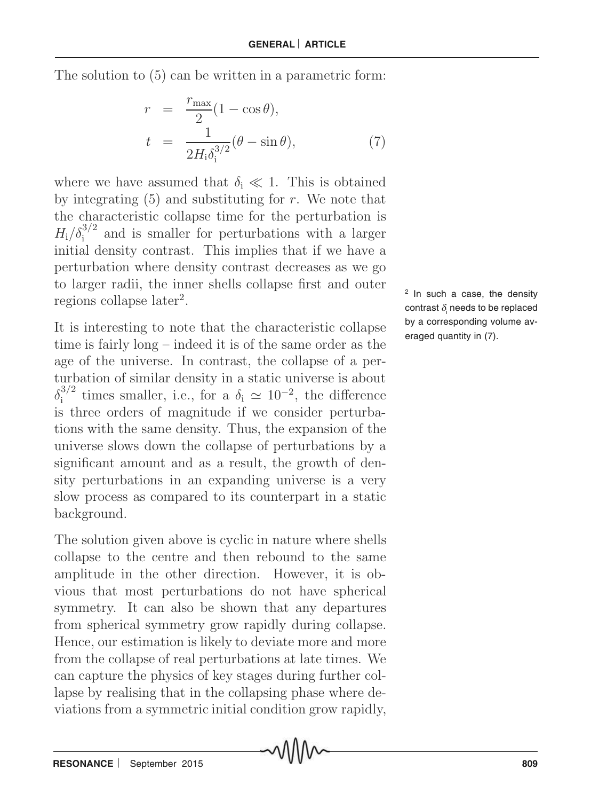The solution to (5) can be written in a parametric form:

$$
r = \frac{r_{\text{max}}}{2}(1 - \cos \theta),
$$
  
\n
$$
t = \frac{1}{2H_{\text{i}}\delta_{\text{i}}^{3/2}}(\theta - \sin \theta),
$$
\n(7)

where we have assumed that  $\delta_i \ll 1$ . This is obtained by integrating  $(5)$  and substituting for r. We note that the characteristic collapse time for the perturbation is  $H_i/\delta_i^{3/2}$  and is smaller for perturbations with a larger initial density contrast. This implies that if we have a perturbation where density contrast decreases as we go to larger radii, the inner shells collapse first and outer regions collapse later<sup>2</sup>.

It is interesting to note that the characteristic collapse time is fairly long – indeed it is of the same order as the age of the universe. In contrast, the collapse of a perturbation of similar density in a static universe is about  $\delta_i^{3/2}$  times smaller, i.e., for a  $\delta_i \simeq 10^{-2}$ , the difference is three orders of magnitude if we consider perturbations with the same density. Thus, the expansion of the universe slows down the collapse of perturbations by a significant amount and as a result, the growth of density perturbations in an expanding universe is a very slow process as compared to its counterpart in a static background.

The solution given above is cyclic in nature where shells collapse to the centre and then rebound to the same amplitude in the other direction. However, it is obvious that most perturbations do not have spherical symmetry. It can also be shown that any departures from spherical symmetry grow rapidly during collapse. Hence, our estimation is likely to deviate more and more from the collapse of real perturbations at late times. We can capture the physics of key stages during further collapse by realising that in the collapsing phase where deviations from a symmetric initial condition grow rapidly,

<sup>2</sup> In such a case, the density contrast  $\delta_{\sf i}$  needs to be replaced by a corresponding volume averaged quantity in (7).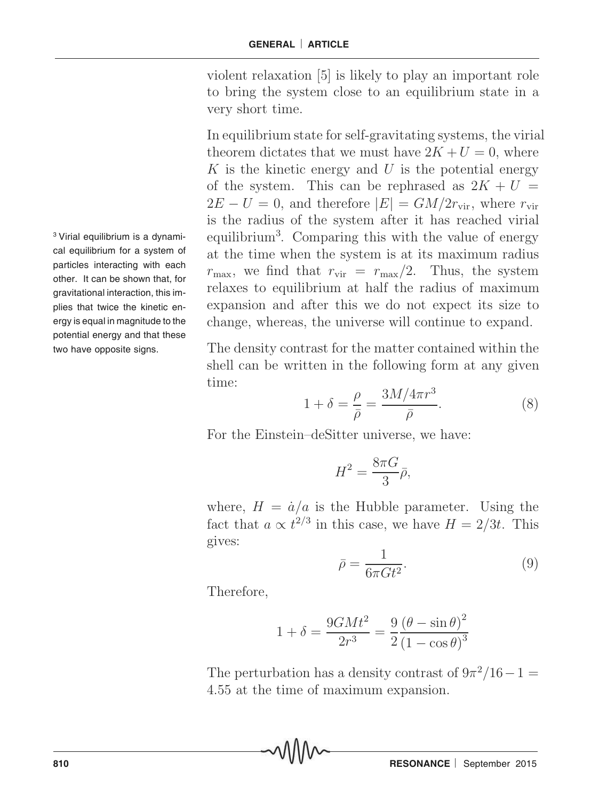violent relaxation [5] is likely to play an important role to bring the system close to an equilibrium state in a very short time.

In equilibrium state for self-gravitating systems, the virial theorem dictates that we must have  $2K + U = 0$ , where K is the kinetic energy and U is the potential energy of the system. This can be rephrased as  $2K + U =$  $2E - U = 0$ , and therefore  $|E| = GM/2r_{\text{vir}}$ , where  $r_{\text{vir}}$ is the radius of the system after it has reached virial equilibrium<sup>3</sup> . Comparing this with the value of energy at the time when the system is at its maximum radius  $r_{\text{max}}$ , we find that  $r_{\text{vir}} = r_{\text{max}}/2$ . Thus, the system relaxes to equilibrium at half the radius of maximum expansion and after this we do not expect its size to change, whereas, the universe will continue to expand.

The density contrast for the matter contained within the shell can be written in the following form at any given time:

$$
1 + \delta = \frac{\rho}{\bar{\rho}} = \frac{3M/4\pi r^3}{\bar{\rho}}.
$$
 (8)

For the Einstein–deSitter universe, we have:

$$
H^2 = \frac{8\pi G}{3}\bar{\rho},
$$

where,  $H = \dot{a}/a$  is the Hubble parameter. Using the fact that  $a \propto t^{2/3}$  in this case, we have  $H = 2/3t$ . This gives:

$$
\bar{\rho} = \frac{1}{6\pi G t^2}.\tag{9}
$$

Therefore,

$$
1 + \delta = \frac{9GMt^2}{2r^3} = \frac{9}{2} \frac{(\theta - \sin \theta)^2}{(1 - \cos \theta)^3}
$$

The perturbation has a density contrast of  $9\pi^2/16-1=$ 4.55 at the time of maximum expansion.

<sup>3</sup> Virial equilibrium is a dynamical equilibrium for a system of particles interacting with each other. It can be shown that, for gravitational interaction, this implies that twice the kinetic energy is equal in magnitude to the potential energy and that these two have opposite signs.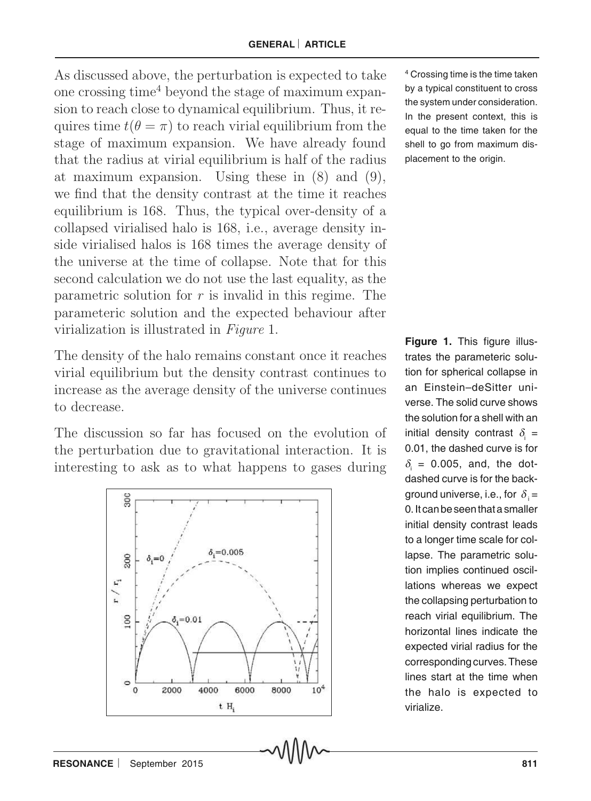As discussed above, the perturbation is expected to take one crossing time<sup>4</sup> beyond the stage of maximum expansion to reach close to dynamical equilibrium. Thus, it requires time  $t(\theta = \pi)$  to reach virial equilibrium from the stage of maximum expansion. We have already found that the radius at virial equilibrium is half of the radius at maximum expansion. Using these in (8) and (9), we find that the density contrast at the time it reaches equilibrium is 168. Thus, the typical over-density of a collapsed virialised halo is 168, i.e., average density inside virialised halos is 168 times the average density of the universe at the time of collapse. Note that for this second calculation we do not use the last equality, as the parametric solution for  $r$  is invalid in this regime. The parameteric solution and the expected behaviour after virialization is illustrated in Figure 1.

The density of the halo remains constant once it reaches virial equilibrium but the density contrast continues to increase as the average density of the universe continues to decrease.

The discussion so far has focused on the evolution of the perturbation due to gravitational interaction. It is interesting to ask as to what happens to gases during



4 Crossing time is the time taken by a typical constituent to cross the system under consideration. In the present context, this is equal to the time taken for the shell to go from maximum displacement to the origin.

**Figure 1.** This figure illustrates the parameteric solution for spherical collapse in an Einstein–deSitter universe. The solid curve shows the solution for a shell with an initial density contrast  $\delta_i$  = 0.01, the dashed curve is for  $\delta_{\rm i}$  = 0.005, and, the dotdashed curve is for the background universe, i.e., for  $\delta_i$  = 0. It can be seen that a smaller initial density contrast leads to a longer time scale for collapse. The parametric solution implies continued oscillations whereas we expect the collapsing perturbation to reach virial equilibrium. The horizontal lines indicate the expected virial radius for the corresponding curves. These lines start at the time when the halo is expected to virialize.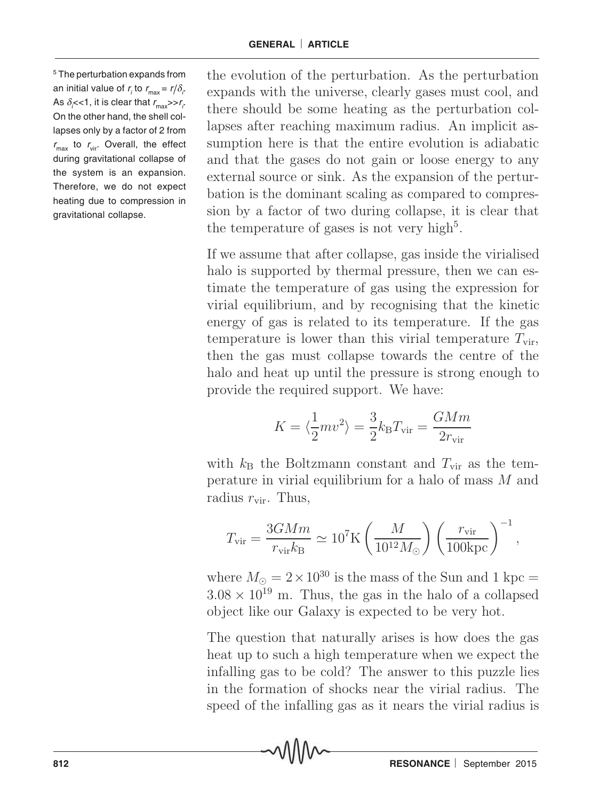5 The perturbation expands from an initial value of  $r_{\scriptscriptstyle{f}}$  to  $r_{\scriptscriptstyle{max}}$  =  $r/\delta_{\scriptscriptstyle{f}}$ As  $\delta_{\vec{\mathcal{j}}}<$  1, it is clear that  $r_{\text{max}}$ >> $r_{\vec{\mathcal{j}}}$ On the other hand, the shell collapses only by a factor of 2 from  $r_{\text{max}}$  to  $r_{\text{vir}}$ . Overall, the effect during gravitational collapse of the system is an expansion. Therefore, we do not expect heating due to compression in gravitational collapse.

the evolution of the perturbation. As the perturbation expands with the universe, clearly gases must cool, and there should be some heating as the perturbation collapses after reaching maximum radius. An implicit assumption here is that the entire evolution is adiabatic and that the gases do not gain or loose energy to any external source or sink. As the expansion of the perturbation is the dominant scaling as compared to compression by a factor of two during collapse, it is clear that the temperature of gases is not very high<sup>5</sup>.

If we assume that after collapse, gas inside the virialised halo is supported by thermal pressure, then we can estimate the temperature of gas using the expression for virial equilibrium, and by recognising that the kinetic energy of gas is related to its temperature. If the gas temperature is lower than this virial temperature  $T_{\text{vir}}$ , then the gas must collapse towards the centre of the halo and heat up until the pressure is strong enough to provide the required support. We have:

$$
K=\langle \frac{1}{2}mv^2 \rangle = \frac{3}{2}k_{\rm B}T_{\rm vir} = \frac{GMm}{2r_{\rm vir}}
$$

with  $k_{\rm B}$  the Boltzmann constant and  $T_{\rm vir}$  as the temperature in virial equilibrium for a halo of mass M and radius  $r_{\rm vir}$ . Thus,

$$
T_{\rm vir} = \frac{3GMm}{r_{\rm vir}k_{\rm B}} \simeq 10^7 {\rm K} \left(\frac{M}{10^{12}M_\odot}\right) \left(\frac{r_{\rm vir}}{100{\rm kpc}}\right)^{-1},
$$

where  $M_{\odot} = 2 \times 10^{30}$  is the mass of the Sun and 1 kpc =  $3.08 \times 10^{19}$  m. Thus, the gas in the halo of a collapsed object like our Galaxy is expected to be very hot.

The question that naturally arises is how does the gas heat up to such a high temperature when we expect the infalling gas to be cold? The answer to this puzzle lies in the formation of shocks near the virial radius. The speed of the infalling gas as it nears the virial radius is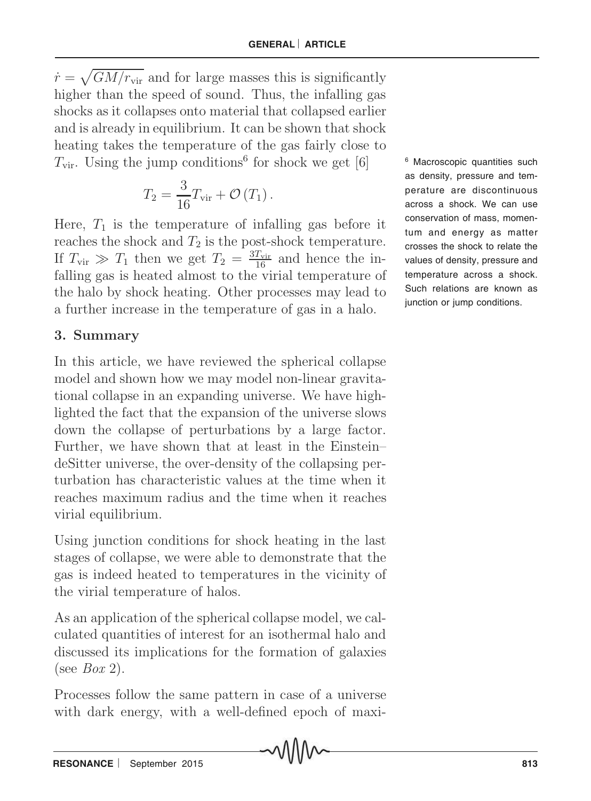$\dot{r} = \sqrt{GM/r_{\rm vir}}$  and for large masses this is significantly higher than the speed of sound. Thus, the infalling gas shocks as it collapses onto material that collapsed earlier and is already in equilibrium. It can be shown that shock heating takes the temperature of the gas fairly close to  $T_{\text{vir}}$ . Using the jump conditions<sup>6</sup> for shock we get [6]

$$
T_2 = \frac{3}{16} T_{\text{vir}} + \mathcal{O}(T_1).
$$

Here,  $T_1$  is the temperature of infalling gas before it reaches the shock and  $T_2$  is the post-shock temperature. If  $T_{\text{vir}} \gg T_1$  then we get  $T_2 = \frac{3T_{\text{vir}}}{16}$  and hence the infalling gas is heated almost to the virial temperature of the halo by shock heating. Other processes may lead to a further increase in the temperature of gas in a halo.

## 3. Summary

In this article, we have reviewed the spherical collapse model and shown how we may model non-linear gravitational collapse in an expanding universe. We have highlighted the fact that the expansion of the universe slows down the collapse of perturbations by a large factor. Further, we have shown that at least in the Einstein– deSitter universe, the over-density of the collapsing perturbation has characteristic values at the time when it reaches maximum radius and the time when it reaches virial equilibrium.

Using junction conditions for shock heating in the last stages of collapse, we were able to demonstrate that the gas is indeed heated to temperatures in the vicinity of the virial temperature of halos.

As an application of the spherical collapse model, we calculated quantities of interest for an isothermal halo and discussed its implications for the formation of galaxies (see  $Box 2$ ).

Processes follow the same pattern in case of a universe with dark energy, with a well-defined epoch of maxi-

6 Macroscopic quantities such as density, pressure and temperature are discontinuous across a shock. We can use conservation of mass, momentum and energy as matter crosses the shock to relate the values of density, pressure and temperature across a shock. Such relations are known as junction or jump conditions.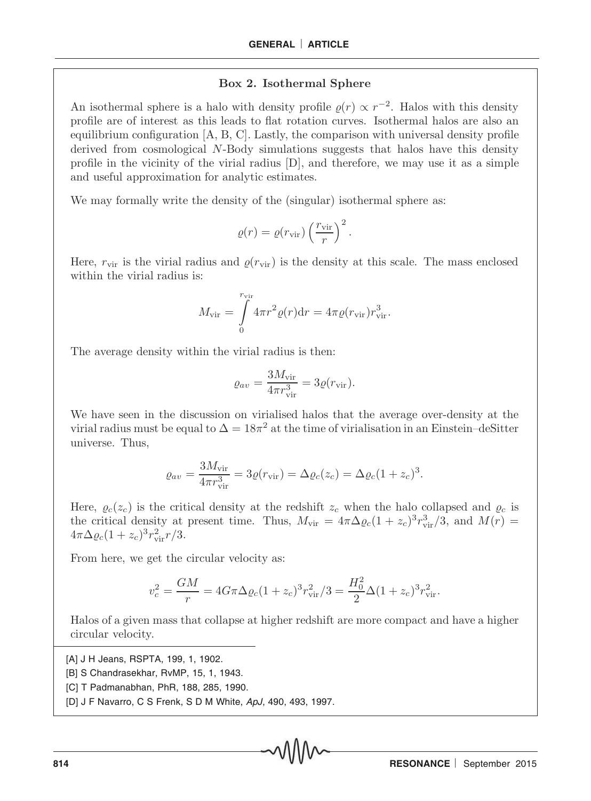#### Box 2. Isothermal Sphere

An isothermal sphere is a halo with density profile  $\varrho(r) \propto r^{-2}$ . Halos with this density profile are of interest as this leads to flat rotation curves. Isothermal halos are also an equilibrium configuration  $[A, B, C]$ . Lastly, the comparison with universal density profile derived from cosmological N-Body simulations suggests that halos have this density profile in the vicinity of the virial radius [D], and therefore, we may use it as a simple and useful approximation for analytic estimates.

We may formally write the density of the (singular) isothermal sphere as:

$$
\varrho(r) = \varrho(r_{\rm vir}) \left(\frac{r_{\rm vir}}{r}\right)^2.
$$

Here,  $r_{\text{vir}}$  is the virial radius and  $\rho(r_{\text{vir}})$  is the density at this scale. The mass enclosed within the virial radius is:

$$
M_{\rm vir} = \int\limits_{0}^{r_{\rm vir}} 4\pi r^2 \varrho(r) dr = 4\pi \varrho(r_{\rm vir}) r_{\rm vir}^3.
$$

The average density within the virial radius is then:

$$
\varrho_{av} = \frac{3M_{\rm vir}}{4\pi r_{\rm vir}^3} = 3\varrho(r_{\rm vir}).
$$

We have seen in the discussion on virialised halos that the average over-density at the virial radius must be equal to  $\Delta = 18\pi^2$  at the time of virialisation in an Einstein–deSitter universe. Thus,

$$
\varrho_{av} = \frac{3M_{\rm vir}}{4\pi r_{\rm vir}^3} = 3\varrho(r_{\rm vir}) = \Delta\varrho_c(z_c) = \Delta\varrho_c(1+z_c)^3.
$$

Here,  $\varrho_c(z_c)$  is the critical density at the redshift  $z_c$  when the halo collapsed and  $\varrho_c$  is the critical density at present time. Thus,  $M_{\text{vir}} = 4\pi \Delta \varrho_c (1 + z_c)^3 r_{\text{vir}}^3 / 3$ , and  $M(r) =$  $4\pi\Delta\varrho_c(1+z_c)^3r_{\text{vir}}^2r/3.$ 

From here, we get the circular velocity as:

$$
v_c^2 = \frac{GM}{r} = 4G\pi\Delta\varrho_c(1+z_c)^3 r_{\rm vir}^2/3 = \frac{H_0^2}{2}\Delta(1+z_c)^3 r_{\rm vir}^2.
$$

Halos of a given mass that collapse at higher redshift are more compact and have a higher circular velocity.

[A] J H Jeans, RSPTA, 199, 1, 1902.

- [B] S Chandrasekhar, RvMP, 15, 1, 1943.
- [C] T Padmanabhan, PhR, 188, 285, 1990.
- [D] J F Navarro, C S Frenk, S D M White, ApJ, 490, 493, 1997.